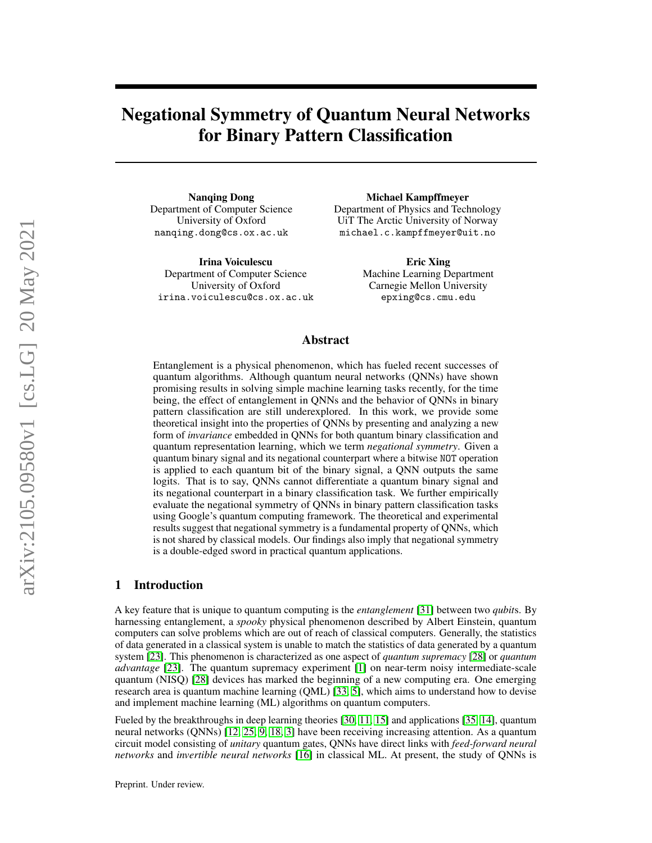# Negational Symmetry of Quantum Neural Networks for Binary Pattern Classification

Nanqing Dong Department of Computer Science University of Oxford nanqing.dong@cs.ox.ac.uk

Irina Voiculescu Department of Computer Science University of Oxford irina.voiculescu@cs.ox.ac.uk

Michael Kampffmeyer Department of Physics and Technology UiT The Arctic University of Norway michael.c.kampffmeyer@uit.no

> Eric Xing Machine Learning Department Carnegie Mellon University epxing@cs.cmu.edu

# Abstract

Entanglement is a physical phenomenon, which has fueled recent successes of quantum algorithms. Although quantum neural networks (QNNs) have shown promising results in solving simple machine learning tasks recently, for the time being, the effect of entanglement in QNNs and the behavior of QNNs in binary pattern classification are still underexplored. In this work, we provide some theoretical insight into the properties of QNNs by presenting and analyzing a new form of *invariance* embedded in QNNs for both quantum binary classification and quantum representation learning, which we term *negational symmetry*. Given a quantum binary signal and its negational counterpart where a bitwise NOT operation is applied to each quantum bit of the binary signal, a QNN outputs the same logits. That is to say, QNNs cannot differentiate a quantum binary signal and its negational counterpart in a binary classification task. We further empirically evaluate the negational symmetry of QNNs in binary pattern classification tasks using Google's quantum computing framework. The theoretical and experimental results suggest that negational symmetry is a fundamental property of QNNs, which is not shared by classical models. Our findings also imply that negational symmetry is a double-edged sword in practical quantum applications.

# 1 Introduction

A key feature that is unique to quantum computing is the *entanglement* [\[31\]](#page-16-0) between two *qubit*s. By harnessing entanglement, a *spooky* physical phenomenon described by Albert Einstein, quantum computers can solve problems which are out of reach of classical computers. Generally, the statistics of data generated in a classical system is unable to match the statistics of data generated by a quantum system [\[23\]](#page-16-1). This phenomenon is characterized as one aspect of *quantum supremacy* [\[28\]](#page-16-2) or *quantum advantage* [\[23\]](#page-16-1). The quantum supremacy experiment [\[1\]](#page-15-0) on near-term noisy intermediate-scale quantum (NISQ) [\[28\]](#page-16-2) devices has marked the beginning of a new computing era. One emerging research area is quantum machine learning (QML) [\[33,](#page-16-3) [5\]](#page-15-1), which aims to understand how to devise and implement machine learning (ML) algorithms on quantum computers.

Fueled by the breakthroughs in deep learning theories [\[30,](#page-16-4) [11,](#page-15-2) [15\]](#page-15-3) and applications [\[35,](#page-16-5) [14\]](#page-15-4), quantum neural networks (QNNs) [\[12,](#page-15-5) [25,](#page-16-6) [9,](#page-15-6) [18,](#page-15-7) [3\]](#page-15-8) have been receiving increasing attention. As a quantum circuit model consisting of *unitary* quantum gates, QNNs have direct links with *feed-forward neural networks* and *invertible neural networks* [\[16\]](#page-15-9) in classical ML. At present, the study of QNNs is

Preprint. Under review.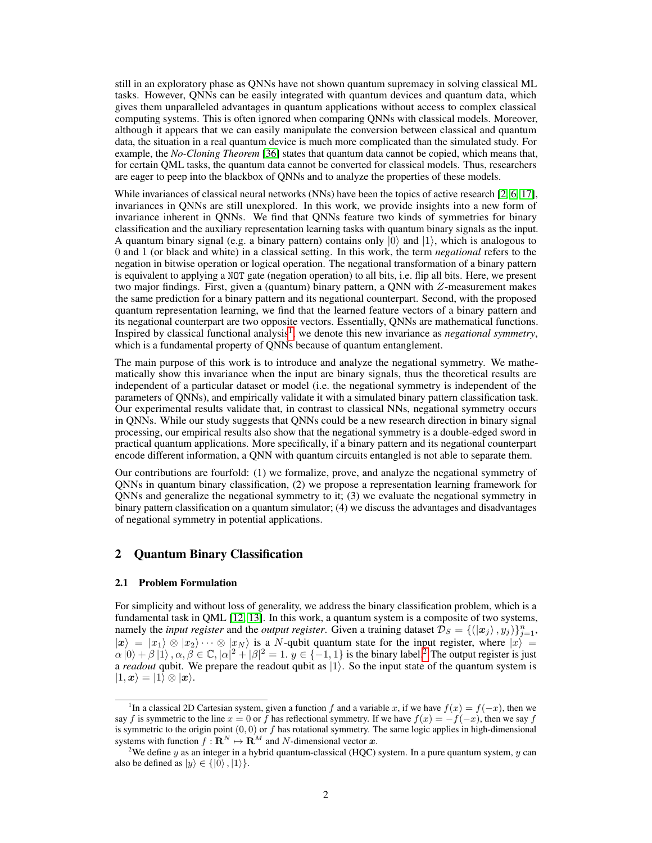still in an exploratory phase as QNNs have not shown quantum supremacy in solving classical ML tasks. However, QNNs can be easily integrated with quantum devices and quantum data, which gives them unparalleled advantages in quantum applications without access to complex classical computing systems. This is often ignored when comparing QNNs with classical models. Moreover, although it appears that we can easily manipulate the conversion between classical and quantum data, the situation in a real quantum device is much more complicated than the simulated study. For example, the *No-Cloning Theorem* [\[36\]](#page-16-7) states that quantum data cannot be copied, which means that, for certain QML tasks, the quantum data cannot be converted for classical models. Thus, researchers are eager to peep into the blackbox of QNNs and to analyze the properties of these models.

While invariances of classical neural networks (NNs) have been the topics of active research [\[2,](#page-15-10) [6,](#page-15-11) [17\]](#page-15-12), invariances in QNNs are still unexplored. In this work, we provide insights into a new form of invariance inherent in QNNs. We find that QNNs feature two kinds of symmetries for binary classification and the auxiliary representation learning tasks with quantum binary signals as the input. A quantum binary signal (e.g. a binary pattern) contains only  $|0\rangle$  and  $|1\rangle$ , which is analogous to 0 and 1 (or black and white) in a classical setting. In this work, the term *negational* refers to the negation in bitwise operation or logical operation. The negational transformation of a binary pattern is equivalent to applying a NOT gate (negation operation) to all bits, i.e. flip all bits. Here, we present two major findings. First, given a (quantum) binary pattern, a QNN with Z-measurement makes the same prediction for a binary pattern and its negational counterpart. Second, with the proposed quantum representation learning, we find that the learned feature vectors of a binary pattern and its negational counterpart are two opposite vectors. Essentially, QNNs are mathematical functions. Inspired by classical functional analysis<sup>[1](#page-1-0)</sup>, we denote this new invariance as *negational symmetry*, which is a fundamental property of QNNs because of quantum entanglement.

The main purpose of this work is to introduce and analyze the negational symmetry. We mathematically show this invariance when the input are binary signals, thus the theoretical results are independent of a particular dataset or model (i.e. the negational symmetry is independent of the parameters of QNNs), and empirically validate it with a simulated binary pattern classification task. Our experimental results validate that, in contrast to classical NNs, negational symmetry occurs in QNNs. While our study suggests that QNNs could be a new research direction in binary signal processing, our empirical results also show that the negational symmetry is a double-edged sword in practical quantum applications. More specifically, if a binary pattern and its negational counterpart encode different information, a QNN with quantum circuits entangled is not able to separate them.

Our contributions are fourfold: (1) we formalize, prove, and analyze the negational symmetry of QNNs in quantum binary classification, (2) we propose a representation learning framework for QNNs and generalize the negational symmetry to it; (3) we evaluate the negational symmetry in binary pattern classification on a quantum simulator; (4) we discuss the advantages and disadvantages of negational symmetry in potential applications.

# 2 Quantum Binary Classification

### <span id="page-1-2"></span>2.1 Problem Formulation

For simplicity and without loss of generality, we address the binary classification problem, which is a fundamental task in QML [\[12,](#page-15-5) [13\]](#page-15-13). In this work, a quantum system is a composite of two systems, namely the *input register* and the *output register*. Given a training dataset  $\mathcal{D}_S = \{(\ket{\bm{x}_j}, y_j)\}_{j=1}^n$ ,  $|x\rangle = |x_1\rangle \otimes |x_2\rangle \cdots \otimes |x_N\rangle$  is a N-qubit quantum state for the input register, where  $|x\rangle =$  $\alpha|0\rangle + \beta|1\rangle$ ,  $\alpha, \beta \in \mathbb{C}, |\alpha|^2 + |\beta|^2 = 1$  $\alpha, \beta \in \mathbb{C}, |\alpha|^2 + |\beta|^2 = 1$  $\alpha, \beta \in \mathbb{C}, |\alpha|^2 + |\beta|^2 = 1$ .  $y \in \{-1, 1\}$  is the binary label.<sup>2</sup> The output register is just a *readout* qubit. We prepare the readout qubit as  $|1\rangle$ . So the input state of the quantum system is  $|1, x\rangle = |1\rangle \otimes |x\rangle.$ 

<span id="page-1-0"></span><sup>&</sup>lt;sup>1</sup>In a classical 2D Cartesian system, given a function f and a variable x, if we have  $f(x) = f(-x)$ , then we say f is symmetric to the line  $x = 0$  or f has reflectional symmetry. If we have  $f(x) = -f(-x)$ , then we say f is symmetric to the origin point  $(0, 0)$  or f has rotational symmetry. The same logic applies in high-dimensional systems with function  $f : \mathbf{R}^N \mapsto \mathbf{R}^M$  and N-dimensional vector x.

<span id="page-1-1"></span><sup>&</sup>lt;sup>2</sup>We define y as an integer in a hybrid quantum-classical (HQC) system. In a pure quantum system, y can also be defined as  $|y\rangle \in \{ |0\rangle, |1\rangle \}.$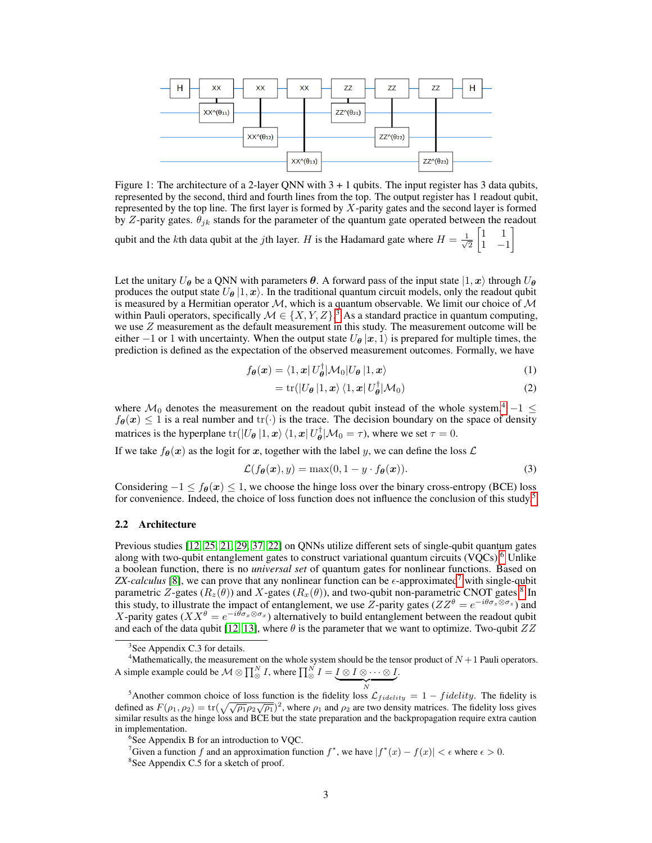<span id="page-2-6"></span>

Figure 1: The architecture of a 2-layer QNN with  $3 + 1$  qubits. The input register has 3 data qubits, represented by the second, third and fourth lines from the top. The output register has 1 readout qubit, represented by the top line. The first layer is formed by X-parity gates and the second layer is formed by Z-parity gates.  $\theta_{jk}$  stands for the parameter of the quantum gate operated between the readout

qubit and the kth data qubit at the *j*th layer. H is the Hadamard gate where  $H = \frac{1}{\sqrt{2}}$ 2  $\begin{bmatrix} 1 & 1 \end{bmatrix}$ 1 −1 1

Let the unitary  $U_{\theta}$  be a QNN with parameters  $\theta$ . A forward pass of the input state  $|1, x\rangle$  through  $U_{\theta}$ produces the output state  $U_{\theta} |1, x\rangle$ . In the traditional quantum circuit models, only the readout qubit is measured by a Hermitian operator  $M$ , which is a quantum observable. We limit our choice of  $M$ within Pauli operators, specifically  $\mathcal{M} \in \{X, Y, Z\}$ .<sup>[3](#page-2-0)</sup> As a standard practice in quantum computing, we use Z measurement as the default measurement in this study. The measurement outcome will be either −1 or 1 with uncertainty. When the output state  $U_{\theta} |x, 1\rangle$  is prepared for multiple times, the prediction is defined as the expectation of the observed measurement outcomes. Formally, we have

$$
f_{\theta}(\boldsymbol{x}) = \langle 1, \boldsymbol{x} | U_{\theta}^{\dagger} | \mathcal{M}_0 | U_{\theta} | 1, \boldsymbol{x} \rangle \tag{1}
$$

<span id="page-2-7"></span>
$$
= \operatorname{tr}(|U_{\theta}|1, \boldsymbol{x}\rangle\langle 1, \boldsymbol{x}|U_{\theta}^{\dagger}|\mathcal{M}_0)
$$
\n(2)

where  $\mathcal{M}_0$  denotes the measurement on the readout qubit instead of the whole system,<sup>[4](#page-2-1)</sup> -1  $\leq$  $f_{\theta}(x) \le 1$  is a real number and tr( $\cdot$ ) is the trace. The decision boundary on the space of density matrices is the hyperplane  $tr(|U_{\theta}|1, x) \langle 1, x | U_{\theta}^{\dagger} | \mathcal{M}_0 = \tau$ ), where we set  $\tau = 0$ .

If we take  $f_{\theta}(x)$  as the logit for x, together with the label y, we can define the loss  $\mathcal{L}$ 

$$
\mathcal{L}(f_{\theta}(\boldsymbol{x}), y) = \max(0, 1 - y \cdot f_{\theta}(\boldsymbol{x})).
$$
\n(3)

Considering  $-1 \le f_{\theta}(x) \le 1$ , we choose the hinge loss over the binary cross-entropy (BCE) loss for convenience. Indeed, the choice of loss function does not influence the conclusion of this study.<sup>[5](#page-2-2)</sup>

### <span id="page-2-8"></span>2.2 Architecture

Previous studies [\[12,](#page-15-5) [25,](#page-16-6) [21,](#page-15-14) [29,](#page-16-8) [37,](#page-16-9) [22\]](#page-16-10) on QNNs utilize different sets of single-qubit quantum gates along with two-qubit entanglement gates to construct variational quantum circuits (VQCs).<sup>[6](#page-2-3)</sup> Unlike a boolean function, there is no *universal set* of quantum gates for nonlinear functions. Based on *ZX-calculus* [\[8\]](#page-15-15), we can prove that any nonlinear function can be  $\epsilon$ -approximated<sup>[7](#page-2-4)</sup> with single-qubit parametric Z-gates  $(R_z(\theta))$  and X-gates  $(R_x(\theta))$ , and two-qubit non-parametric CNOT gates.<sup>[8](#page-2-5)</sup> In this study, to illustrate the impact of entanglement, we use Z-parity gates ( $ZZ^{\theta} = e^{-i\theta \sigma_z \otimes \sigma_z}$ ) and X-parity gates ( $XX^{\theta} = e^{-i\theta \sigma_x \otimes \sigma_x}$ ) alternatively to build entanglement between the readout qubit and each of the data qubit [\[12,](#page-15-5) [13\]](#page-15-13), where  $\theta$  is the parameter that we want to optimize. Two-qubit  $ZZ$ 

<span id="page-2-4"></span><sup>7</sup>Given a function f and an approximation function  $f^*$ , we have  $|f^*(x) - f(x)| < \epsilon$  where  $\epsilon > 0$ .

<span id="page-2-1"></span><span id="page-2-0"></span><sup>&</sup>lt;sup>3</sup>See Appendix C.3 for details.

<sup>&</sup>lt;sup>4</sup>Mathematically, the measurement on the whole system should be the tensor product of  $N+1$  Pauli operators. A simple example could be  $\mathcal{M}\otimes \prod_{\otimes}^N I,$  where  $\prod_{\otimes}^N I=I\otimes I\otimes \cdots \otimes I$ .

<span id="page-2-2"></span> $\overbrace{N}$ <sup>5</sup>Another common choice of loss function is the fidelity loss  $\mathcal{L}_{fidelity} = 1 - fidelity$ . The fidelity is defined as  $F(\rho_1, \rho_2) = \text{tr}(\sqrt{\sqrt{\rho_1}\rho_2\sqrt{\rho_1}})^2$ , where  $\rho_1$  and  $\rho_2$  are two density matrices. The fidelity loss gives similar results as the hinge loss and BCE but the state preparation and the backpropagation require extra caution in implementation.

<span id="page-2-3"></span><sup>&</sup>lt;sup>6</sup>See Appendix B for an introduction to VQC.

<span id="page-2-5"></span><sup>8</sup> See Appendix C.5 for a sketch of proof.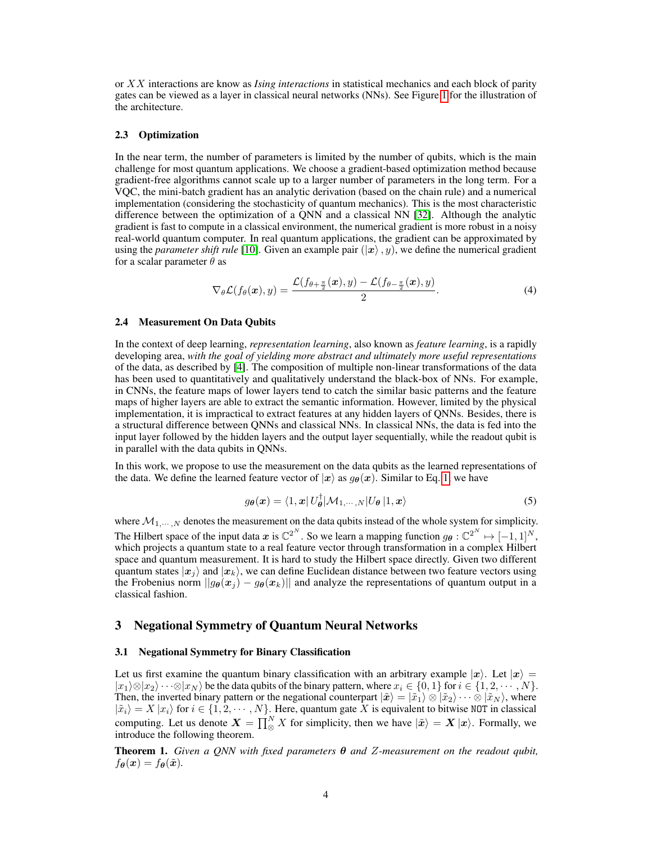or XX interactions are know as *Ising interactions* in statistical mechanics and each block of parity gates can be viewed as a layer in classical neural networks (NNs). See Figure [1](#page-2-6) for the illustration of the architecture.

### 2.3 Optimization

In the near term, the number of parameters is limited by the number of qubits, which is the main challenge for most quantum applications. We choose a gradient-based optimization method because gradient-free algorithms cannot scale up to a larger number of parameters in the long term. For a VQC, the mini-batch gradient has an analytic derivation (based on the chain rule) and a numerical implementation (considering the stochasticity of quantum mechanics). This is the most characteristic difference between the optimization of a QNN and a classical NN [\[32\]](#page-16-11). Although the analytic gradient is fast to compute in a classical environment, the numerical gradient is more robust in a noisy real-world quantum computer. In real quantum applications, the gradient can be approximated by using the *parameter shift rule* [\[10\]](#page-15-16). Given an example pair  $(|x\rangle, y)$ , we define the numerical gradient for a scalar parameter  $\theta$  as

$$
\nabla_{\theta} \mathcal{L}(f_{\theta}(\boldsymbol{x}), y) = \frac{\mathcal{L}(f_{\theta + \frac{\pi}{2}}(\boldsymbol{x}), y) - \mathcal{L}(f_{\theta - \frac{\pi}{2}}(\boldsymbol{x}), y)}{2}.
$$
\n(4)

### <span id="page-3-1"></span>2.4 Measurement On Data Qubits

In the context of deep learning, *representation learning*, also known as *feature learning*, is a rapidly developing area, *with the goal of yielding more abstract and ultimately more useful representations* of the data, as described by [\[4\]](#page-15-17). The composition of multiple non-linear transformations of the data has been used to quantitatively and qualitatively understand the black-box of NNs. For example, in CNNs, the feature maps of lower layers tend to catch the similar basic patterns and the feature maps of higher layers are able to extract the semantic information. However, limited by the physical implementation, it is impractical to extract features at any hidden layers of QNNs. Besides, there is a structural difference between QNNs and classical NNs. In classical NNs, the data is fed into the input layer followed by the hidden layers and the output layer sequentially, while the readout qubit is in parallel with the data qubits in QNNs.

In this work, we propose to use the measurement on the data qubits as the learned representations of the data. We define the learned feature vector of  $|x\rangle$  as  $g_{\theta}(x)$ . Similar to Eq. [1,](#page-2-7) we have

$$
g_{\theta}(\boldsymbol{x}) = \langle 1, \boldsymbol{x} | U_{\theta}^{\dagger} | \mathcal{M}_{1, \cdots, N} | U_{\theta} | 1, \boldsymbol{x} \rangle \tag{5}
$$

where  $M_{1,\dots,N}$  denotes the measurement on the data qubits instead of the whole system for simplicity. The Hilbert space of the input data  $x$  is  $\mathbb{C}^{2^N}$ . So we learn a mapping function  $g_{\theta}: \mathbb{C}^{2^N} \mapsto [-1,1]^N$ , which projects a quantum state to a real feature vector through transformation in a complex Hilbert space and quantum measurement. It is hard to study the Hilbert space directly. Given two different quantum states  $|x_i\rangle$  and  $|x_k\rangle$ , we can define Euclidean distance between two feature vectors using the Frobenius norm  $||g_{\theta}(x_j) - g_{\theta}(x_k)||$  and analyze the representations of quantum output in a classical fashion.

# <span id="page-3-3"></span>3 Negational Symmetry of Quantum Neural Networks

### <span id="page-3-2"></span>3.1 Negational Symmetry for Binary Classification

Let us first examine the quantum binary classification with an arbitrary example  $|x\rangle$ . Let  $|x\rangle =$  $|x_1\rangle \otimes |x_2\rangle \cdots \otimes |x_N\rangle$  be the data qubits of the binary pattern, where  $x_i \in \{0,1\}$  for  $i \in \{1,2,\dots,N\}$ . Then, the inverted binary pattern or the negational counterpart  $|\tilde{x}\rangle = |\tilde{x}_1\rangle \otimes |\tilde{x}_2\rangle \cdots \otimes |\tilde{x}_N\rangle$ , where  $|\tilde{x}_i\rangle = X |x_i\rangle$  for  $i \in \{1, 2, \dots, N\}$ . Here, quantum gate X is equivalent to bitwise NOT in classical computing. Let us denote  $\bm{X} = \prod_{\otimes}^{N} X$  for simplicity, then we have  $|\tilde{\bm{x}}\rangle = \bm{X} |\bm{x}\rangle$ . Formally, we introduce the following theorem.

<span id="page-3-0"></span>Theorem 1. *Given a QNN with fixed parameters* θ *and* Z*-measurement on the readout qubit,*  $f_{\theta}(\boldsymbol{x}) = f_{\theta}(\tilde{\boldsymbol{x}}).$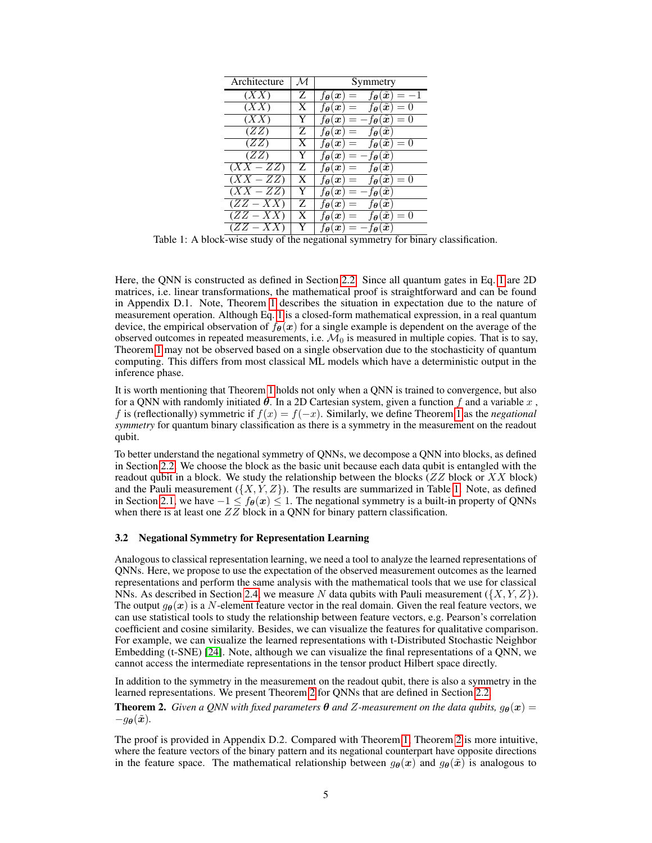<span id="page-4-0"></span>

| Architecture      | $\mathcal M$   | Symmetry                                                                                              |  |
|-------------------|----------------|-------------------------------------------------------------------------------------------------------|--|
| (XX)              | Z              | $f_{\theta}(\tilde{\bm{x}}) = -1$<br>$f_{\theta}(x)$<br>$=$                                           |  |
| $\overline{(XX)}$ | X              | $f_{\theta}(\tilde{\bm{x}})=0$<br>$f_{\boldsymbol{\theta}}(\boldsymbol{x}) =$                         |  |
| (XX)              | Y              | $-f_{\boldsymbol{\theta}}(\tilde{\boldsymbol{x}})=0$<br>$f_{\theta}(x)$<br>$=$                        |  |
| (ZZ)              | Z              | $f_{\boldsymbol{\theta}}(\tilde{\boldsymbol{x}})$<br>$f_{\theta}(x) \equiv$                           |  |
| (ZZ)              | X              | $f_{\theta}(\tilde{\boldsymbol{x}}) = 0$<br>$f_{\theta}(x) =$                                         |  |
| (ZZ)              | Y              | - f $_{\bm{\theta}}(\tilde{\bm{x}})$<br>$f_{\theta}(x) =$                                             |  |
| $(XX - ZZ)$       | $\overline{z}$ | $f_{\boldsymbol{\theta}}(\tilde{\boldsymbol{x}})$<br>$f_{\theta}(x) =$                                |  |
| $(XX - ZZ)$       | X              | $f_{\boldsymbol{\theta}}(\tilde{\boldsymbol{x}}) = 0$<br>$f_{\boldsymbol{\theta}}(\boldsymbol{x}) =$  |  |
| $(XX - ZZ)$       | Y              | $f_{\boldsymbol{\theta}}(\tilde{\boldsymbol{x}})$<br>$f_{\boldsymbol{\theta}}(\boldsymbol{x})$<br>$=$ |  |
| $(ZZ - XX)$       | Z              | $f_{\boldsymbol{\theta}}(\tilde{\boldsymbol{x}})$<br>$f_{\theta}(x) =$                                |  |
| $(ZZ - XX)$       | X              | $f_{\boldsymbol{\theta}}(\tilde{\boldsymbol{x}})=0$<br>$f_{\boldsymbol{\theta}}(\boldsymbol{x}) =$    |  |
| $(ZZ - XX)$       | Y              | $-f_{\boldsymbol{\theta}}(\tilde{\boldsymbol{x}})$<br>$f_{\boldsymbol{\theta}}(\boldsymbol{x}) =$     |  |

Table 1: A block-wise study of the negational symmetry for binary classification.

Here, the QNN is constructed as defined in Section [2.2.](#page-2-8) Since all quantum gates in Eq. [1](#page-2-7) are 2D matrices, i.e. linear transformations, the mathematical proof is straightforward and can be found in Appendix D.1. Note, Theorem [1](#page-3-0) describes the situation in expectation due to the nature of measurement operation. Although Eq. [1](#page-2-7) is a closed-form mathematical expression, in a real quantum device, the empirical observation of  $f_{\theta}(x)$  for a single example is dependent on the average of the observed outcomes in repeated measurements, i.e.  $\mathcal{M}_0$  is measured in multiple copies. That is to say, Theorem [1](#page-3-0) may not be observed based on a single observation due to the stochasticity of quantum computing. This differs from most classical ML models which have a deterministic output in the inference phase.

It is worth mentioning that Theorem [1](#page-3-0) holds not only when a QNN is trained to convergence, but also for a QNN with randomly initiated  $\theta$ . In a 2D Cartesian system, given a function f and a variable x, f is (reflectionally) symmetric if  $f(x) = f(-x)$ . Similarly, we define Theorem [1](#page-3-0) as the *negational symmetry* for quantum binary classification as there is a symmetry in the measurement on the readout qubit.

To better understand the negational symmetry of QNNs, we decompose a QNN into blocks, as defined in Section [2.2.](#page-2-8) We choose the block as the basic unit because each data qubit is entangled with the readout qubit in a block. We study the relationship between the blocks ( $ZZ$  block or  $XX$  block) and the Pauli measurement  $({X, Y, Z})$ . The results are summarized in Table [1.](#page-4-0) Note, as defined in Section [2.1,](#page-1-2) we have  $-1 \le f_{\theta}(x) \le 1$ . The negational symmetry is a built-in property of QNNs when there is at least one  $ZZ$  block in a QNN for binary pattern classification.

### <span id="page-4-2"></span>3.2 Negational Symmetry for Representation Learning

Analogous to classical representation learning, we need a tool to analyze the learned representations of QNNs. Here, we propose to use the expectation of the observed measurement outcomes as the learned representations and perform the same analysis with the mathematical tools that we use for classical NNs. As described in Section [2.4,](#page-3-1) we measure N data qubits with Pauli measurement ( $\{X, Y, Z\}$ ). The output  $q_{\theta}(x)$  is a N-element feature vector in the real domain. Given the real feature vectors, we can use statistical tools to study the relationship between feature vectors, e.g. Pearson's correlation coefficient and cosine similarity. Besides, we can visualize the features for qualitative comparison. For example, we can visualize the learned representations with t-Distributed Stochastic Neighbor Embedding (t-SNE) [\[24\]](#page-16-12). Note, although we can visualize the final representations of a QNN, we cannot access the intermediate representations in the tensor product Hilbert space directly.

In addition to the symmetry in the measurement on the readout qubit, there is also a symmetry in the learned representations. We present Theorem [2](#page-4-1) for QNNs that are defined in Section [2.2.](#page-2-8)

<span id="page-4-1"></span>**Theorem 2.** *Given a QNN with fixed parameters*  $\theta$  *and Z*-measurement on the data qubits,  $g_{\theta}(x)$  =  $-g_{\boldsymbol{\theta}}(\tilde{\boldsymbol{x}})$ .

The proof is provided in Appendix D.2. Compared with Theorem [1,](#page-3-0) Theorem [2](#page-4-1) is more intuitive, where the feature vectors of the binary pattern and its negational counterpart have opposite directions in the feature space. The mathematical relationship between  $g_{\theta}(x)$  and  $g_{\theta}(\tilde{x})$  is analogous to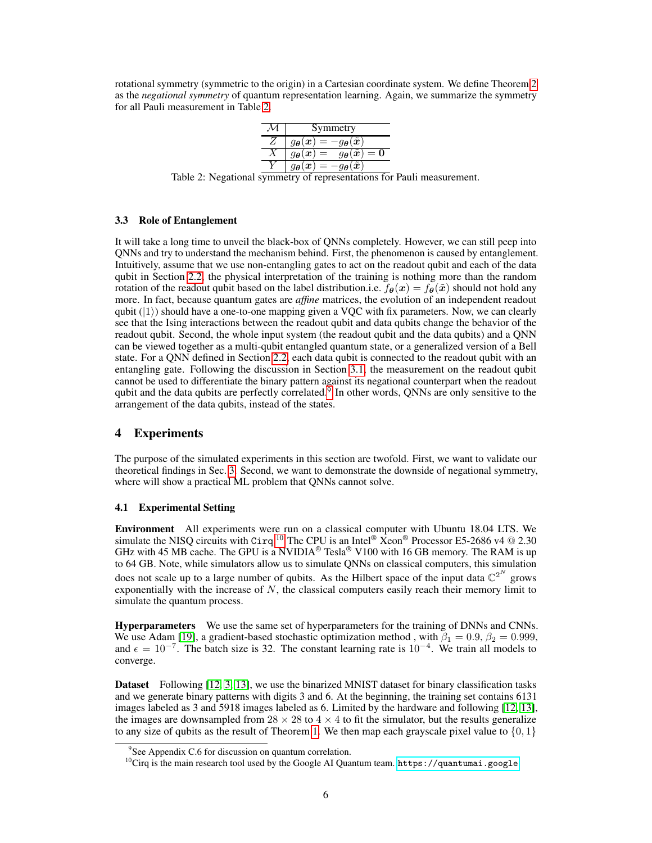<span id="page-5-0"></span>rotational symmetry (symmetric to the origin) in a Cartesian coordinate system. We define Theorem [2](#page-4-1) as the *negational symmetry* of quantum representation learning. Again, we summarize the symmetry for all Pauli measurement in Table [2.](#page-5-0)

| Symmetry                                                                                                                 |
|--------------------------------------------------------------------------------------------------------------------------|
| $g_{\boldsymbol{\theta}}(\boldsymbol{x}) =$<br>$-g_{\boldsymbol{\theta}}(\tilde{\boldsymbol{x}})$                        |
| $g_{\boldsymbol{\theta}}(\widetilde{\boldsymbol{x}})=\boldsymbol{0}$<br>$g_{\boldsymbol{\theta}}(\boldsymbol{x})$<br>$=$ |
| $\tilde{\bm{x}}$<br>$g_{\boldsymbol{\theta}}(\boldsymbol{x})$<br>ÛА<br>=                                                 |

Table 2: Negational symmetry of representations for Pauli measurement.

### 3.3 Role of Entanglement

It will take a long time to unveil the black-box of QNNs completely. However, we can still peep into QNNs and try to understand the mechanism behind. First, the phenomenon is caused by entanglement. Intuitively, assume that we use non-entangling gates to act on the readout qubit and each of the data qubit in Section [2.2,](#page-2-8) the physical interpretation of the training is nothing more than the random rotation of the readout qubit based on the label distribution.i.e.  $f_{\theta}(x) = f_{\theta}(\tilde{x})$  should not hold any more. In fact, because quantum gates are *affine* matrices, the evolution of an independent readout qubit  $(|1\rangle)$  should have a one-to-one mapping given a VQC with fix parameters. Now, we can clearly see that the Ising interactions between the readout qubit and data qubits change the behavior of the readout qubit. Second, the whole input system (the readout qubit and the data qubits) and a QNN can be viewed together as a multi-qubit entangled quantum state, or a generalized version of a Bell state. For a QNN defined in Section [2.2,](#page-2-8) each data qubit is connected to the readout qubit with an entangling gate. Following the discussion in Section [3.1,](#page-3-2) the measurement on the readout qubit cannot be used to differentiate the binary pattern against its negational counterpart when the readout qubit and the data qubits are perfectly correlated. $\overline{9}$  $\overline{9}$  $\overline{9}$  In other words, QNNs are only sensitive to the arrangement of the data qubits, instead of the states.

### 4 Experiments

The purpose of the simulated experiments in this section are twofold. First, we want to validate our theoretical findings in Sec. [3.](#page-3-3) Second, we want to demonstrate the downside of negational symmetry, where will show a practical ML problem that QNNs cannot solve.

### 4.1 Experimental Setting

Environment All experiments were run on a classical computer with Ubuntu 18.04 LTS. We simulate the NISQ circuits with Cirq.<sup>[10](#page-5-2)</sup> The CPU is an Intel® Xeon® Processor E5-2686 v4 @ 2.30 GHz with 45 MB cache. The GPU is a NVIDIA<sup>®</sup> Tesla<sup>®</sup> V100 with 16 GB memory. The RAM is up to 64 GB. Note, while simulators allow us to simulate QNNs on classical computers, this simulation does not scale up to a large number of qubits. As the Hilbert space of the input data  $\mathbb{C}^{2^N}$  grows exponentially with the increase of  $N$ , the classical computers easily reach their memory limit to simulate the quantum process.

Hyperparameters We use the same set of hyperparameters for the training of DNNs and CNNs. We use Adam [\[19\]](#page-15-18), a gradient-based stochastic optimization method, with  $\beta_1 = 0.9$ ,  $\beta_2 = 0.999$ , and  $\epsilon = 10^{-7}$ . The batch size is 32. The constant learning rate is  $10^{-4}$ . We train all models to converge.

Dataset Following [\[12,](#page-15-5) [3,](#page-15-8) [13\]](#page-15-13), we use the binarized MNIST dataset for binary classification tasks and we generate binary patterns with digits 3 and 6. At the beginning, the training set contains 6131 images labeled as 3 and 5918 images labeled as 6. Limited by the hardware and following [\[12,](#page-15-5) [13\]](#page-15-13), the images are downsampled from  $28 \times 28$  to  $4 \times 4$  to fit the simulator, but the results generalize to any size of qubits as the result of Theorem [1.](#page-3-0) We then map each grayscale pixel value to  $\{0, 1\}$ 

<span id="page-5-1"></span><sup>&</sup>lt;sup>9</sup>See Appendix C.6 for discussion on quantum correlation.

<span id="page-5-2"></span> $^{10}$ Cirq is the main research tool used by the Google AI Quantum team. <https://quantumai.google>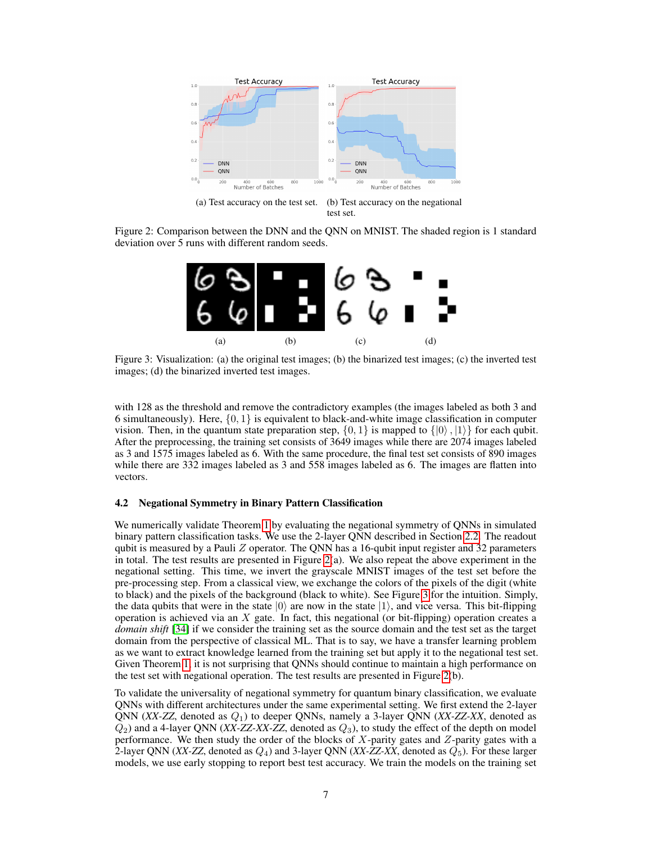<span id="page-6-0"></span>

<span id="page-6-1"></span>Figure 2: Comparison between the DNN and the QNN on MNIST. The shaded region is 1 standard deviation over 5 runs with different random seeds.



Figure 3: Visualization: (a) the original test images; (b) the binarized test images; (c) the inverted test images; (d) the binarized inverted test images.

with 128 as the threshold and remove the contradictory examples (the images labeled as both 3 and 6 simultaneously). Here,  $\{0, 1\}$  is equivalent to black-and-white image classification in computer vision. Then, in the quantum state preparation step,  $\{0, 1\}$  is mapped to  $\{|0\rangle, |1\rangle\}$  for each qubit. After the preprocessing, the training set consists of 3649 images while there are 2074 images labeled as 3 and 1575 images labeled as 6. With the same procedure, the final test set consists of 890 images while there are 332 images labeled as 3 and 558 images labeled as 6. The images are flatten into vectors.

### <span id="page-6-2"></span>4.2 Negational Symmetry in Binary Pattern Classification

We numerically validate Theorem [1](#page-3-0) by evaluating the negational symmetry of QNNs in simulated binary pattern classification tasks. We use the 2-layer QNN described in Section [2.2.](#page-2-8) The readout qubit is measured by a Pauli  $Z$  operator. The QNN has a 16-qubit input register and 32 parameters in total. The test results are presented in Figure [2\(](#page-6-0)a). We also repeat the above experiment in the negational setting. This time, we invert the grayscale MNIST images of the test set before the pre-processing step. From a classical view, we exchange the colors of the pixels of the digit (white to black) and the pixels of the background (black to white). See Figure [3](#page-6-1) for the intuition. Simply, the data qubits that were in the state  $|0\rangle$  are now in the state  $|1\rangle$ , and vice versa. This bit-flipping operation is achieved via an  $X$  gate. In fact, this negational (or bit-flipping) operation creates a *domain shift* [\[34\]](#page-16-13) if we consider the training set as the source domain and the test set as the target domain from the perspective of classical ML. That is to say, we have a transfer learning problem as we want to extract knowledge learned from the training set but apply it to the negational test set. Given Theorem [1,](#page-3-0) it is not surprising that QNNs should continue to maintain a high performance on the test set with negational operation. The test results are presented in Figure [2\(](#page-6-0)b).

To validate the universality of negational symmetry for quantum binary classification, we evaluate QNNs with different architectures under the same experimental setting. We first extend the 2-layer QNN  $(XX-ZZ,$  denoted as  $Q_1$ ) to deeper QNNs, namely a 3-layer QNN  $(XX-ZZ-XX,$  denoted as  $Q_2$ ) and a 4-layer QNN (*XX-ZZ-XX-ZZ*, denoted as  $Q_3$ ), to study the effect of the depth on model performance. We then study the order of the blocks of  $X$ -parity gates and  $Z$ -parity gates with a 2-layer QNN (*XX-ZZ*, denoted as  $Q_4$ ) and 3-layer QNN (*XX-ZZ-XX*, denoted as  $Q_5$ ). For these larger models, we use early stopping to report best test accuracy. We train the models on the training set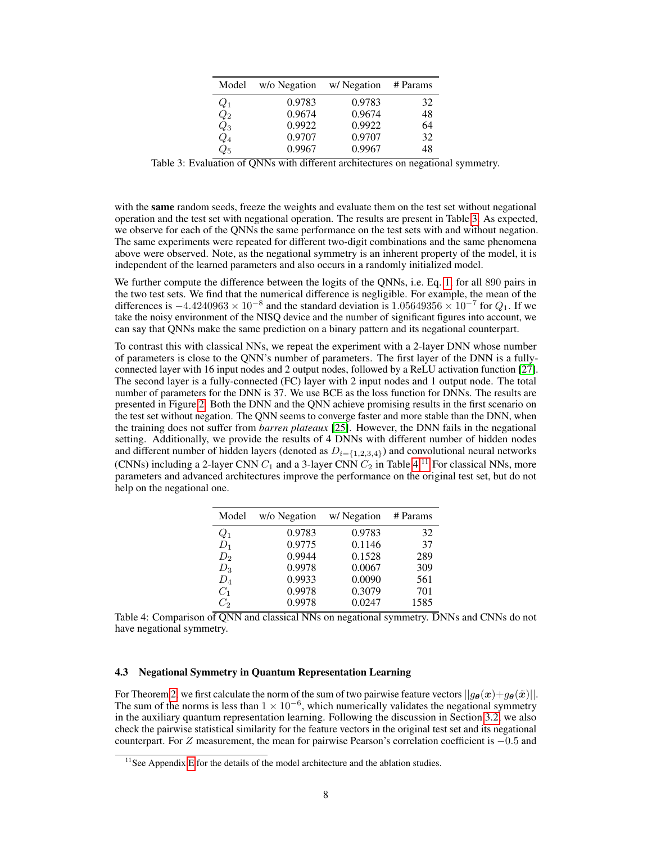| Model              | w/o Negation | w/Negation | # Params |
|--------------------|--------------|------------|----------|
| $Q_1$              | 0.9783       | 0.9783     | 32       |
| $\scriptstyle Q_2$ | 0.9674       | 0.9674     | 48       |
| $\scriptstyle Q_3$ | 0.9922       | 0.9922     | 64       |
| $\mathcal{Q}_4$    | 0.9707       | 0.9707     | 32       |
| $Q_{5}$            | 0.9967       | 0.9967     | 48       |

<span id="page-7-0"></span>Table 3: Evaluation of QNNs with different architectures on negational symmetry.

with the same random seeds, freeze the weights and evaluate them on the test set without negational operation and the test set with negational operation. The results are present in Table [3.](#page-7-0) As expected, we observe for each of the QNNs the same performance on the test sets with and without negation. The same experiments were repeated for different two-digit combinations and the same phenomena above were observed. Note, as the negational symmetry is an inherent property of the model, it is independent of the learned parameters and also occurs in a randomly initialized model.

We further compute the difference between the logits of the QNNs, i.e. Eq. [1,](#page-2-7) for all 890 pairs in the two test sets. We find that the numerical difference is negligible. For example, the mean of the differences is  $-4.4240963 \times 10^{-8}$  and the standard deviation is  $1.05649356 \times 10^{-7}$  for  $Q_1$ . If we take the noisy environment of the NISQ device and the number of significant figures into account, we can say that QNNs make the same prediction on a binary pattern and its negational counterpart.

To contrast this with classical NNs, we repeat the experiment with a 2-layer DNN whose number of parameters is close to the QNN's number of parameters. The first layer of the DNN is a fullyconnected layer with 16 input nodes and 2 output nodes, followed by a ReLU activation function [\[27\]](#page-16-14). The second layer is a fully-connected (FC) layer with 2 input nodes and 1 output node. The total number of parameters for the DNN is 37. We use BCE as the loss function for DNNs. The results are presented in Figure [2.](#page-6-0) Both the DNN and the QNN achieve promising results in the first scenario on the test set without negation. The QNN seems to converge faster and more stable than the DNN, when the training does not suffer from *barren plateaux* [\[25\]](#page-16-6). However, the DNN fails in the negational setting. Additionally, we provide the results of 4 DNNs with different number of hidden nodes and different number of hidden layers (denoted as  $D_{i=\{1,2,3,4\}}$ ) and convolutional neural networks (CNNs) including a 2-layer CNN  $C_1$  and a 3-layer CNN  $C_2$  in Table [4.](#page-7-1)<sup>[11](#page-7-2)</sup> For classical NNs, more parameters and advanced architectures improve the performance on the original test set, but do not help on the negational one.

<span id="page-7-1"></span>

| Model | w/o Negation | w/ Negation | # Params |
|-------|--------------|-------------|----------|
| $Q_1$ | 0.9783       | 0.9783      | 32       |
| $D_1$ | 0.9775       | 0.1146      | 37       |
| $D_2$ | 0.9944       | 0.1528      | 289      |
| $D_3$ | 0.9978       | 0.0067      | 309      |
| $D_4$ | 0.9933       | 0.0090      | 561      |
| $C_1$ | 0.9978       | 0.3079      | 701      |
| C,    | 0.9978       | 0.0247      | 1585     |

Table 4: Comparison of ONN and classical NNs on negational symmetry. DNNs and CNNs do not have negational symmetry.

# 4.3 Negational Symmetry in Quantum Representation Learning

For Theorem [2,](#page-4-1) we first calculate the norm of the sum of two pairwise feature vectors  $||g_{\theta}(x)+g_{\theta}(\tilde{x})||$ . The sum of the norms is less than  $1 \times 10^{-6}$ , which numerically validates the negational symmetry in the auxiliary quantum representation learning. Following the discussion in Section [3.2,](#page-4-2) we also check the pairwise statistical similarity for the feature vectors in the original test set and its negational counterpart. For Z measurement, the mean for pairwise Pearson's correlation coefficient is −0.5 and

<span id="page-7-2"></span> $11$ See Appendix [E](#page-13-0) for the details of the model architecture and the ablation studies.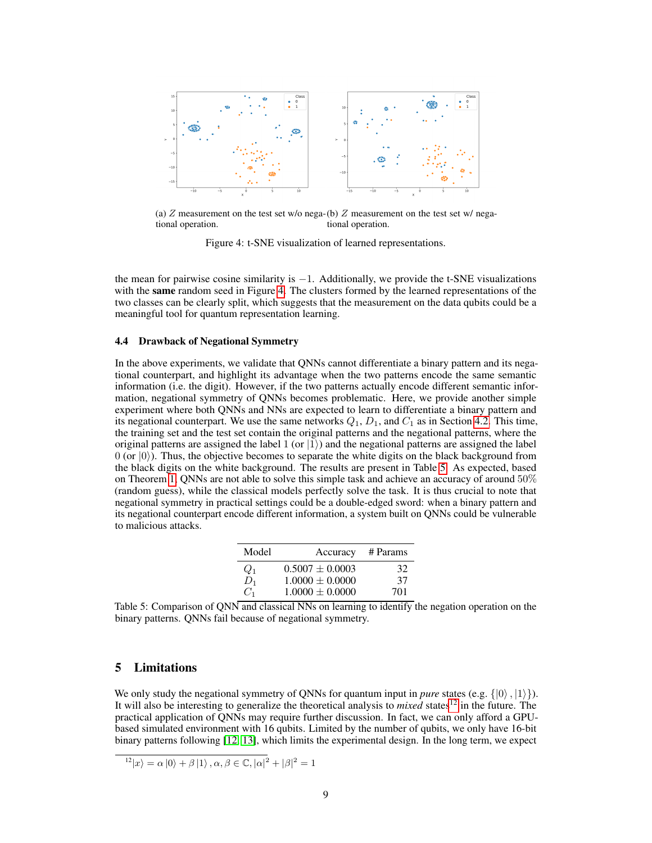<span id="page-8-0"></span>

(a)  $Z$  measurement on the test set w/o nega-(b)  $Z$  measurement on the test set w/ negational operation. tional operation.

Figure 4: t-SNE visualization of learned representations.

the mean for pairwise cosine similarity is  $-1$ . Additionally, we provide the t-SNE visualizations with the **same** random seed in Figure [4.](#page-8-0) The clusters formed by the learned representations of the two classes can be clearly split, which suggests that the measurement on the data qubits could be a meaningful tool for quantum representation learning.

### 4.4 Drawback of Negational Symmetry

In the above experiments, we validate that QNNs cannot differentiate a binary pattern and its negational counterpart, and highlight its advantage when the two patterns encode the same semantic information (i.e. the digit). However, if the two patterns actually encode different semantic information, negational symmetry of QNNs becomes problematic. Here, we provide another simple experiment where both QNNs and NNs are expected to learn to differentiate a binary pattern and its negational counterpart. We use the same networks  $Q_1, D_1$ , and  $C_1$  as in Section [4.2.](#page-6-2) This time, the training set and the test set contain the original patterns and the negational patterns, where the original patterns are assigned the label 1 (or  $|1\rangle$ ) and the negational patterns are assigned the label  $0$  (or  $|0\rangle$ ). Thus, the objective becomes to separate the white digits on the black background from the black digits on the white background. The results are present in Table [5.](#page-8-1) As expected, based on Theorem [1,](#page-3-0) QNNs are not able to solve this simple task and achieve an accuracy of around 50% (random guess), while the classical models perfectly solve the task. It is thus crucial to note that negational symmetry in practical settings could be a double-edged sword: when a binary pattern and its negational counterpart encode different information, a system built on QNNs could be vulnerable to malicious attacks.

| Model | Accuracy            | # Params |
|-------|---------------------|----------|
| $Q_1$ | $0.5007 \pm 0.0003$ | 32       |
| $D_1$ | $1.0000 + 0.0000$   | 37       |
| $C_1$ | $1.0000 \pm 0.0000$ | 701      |

<span id="page-8-1"></span>Table 5: Comparison of QNN and classical NNs on learning to identify the negation operation on the binary patterns. QNNs fail because of negational symmetry.

# 5 Limitations

We only study the negational symmetry of QNNs for quantum input in *pure* states (e.g.  $\{|0\rangle, |1\rangle\}$ ). It will also be interesting to generalize the theoretical analysis to *mixed* states[12](#page-8-2) in the future. The practical application of QNNs may require further discussion. In fact, we can only afford a GPUbased simulated environment with 16 qubits. Limited by the number of qubits, we only have 16-bit binary patterns following [\[12,](#page-15-5) [13\]](#page-15-13), which limits the experimental design. In the long term, we expect

```
|^{12}|x\rangle = \alpha |0\rangle + \beta |1\rangle, \alpha, \beta \in \mathbb{C}, |\alpha|^2 + |\beta|^2 = 1
```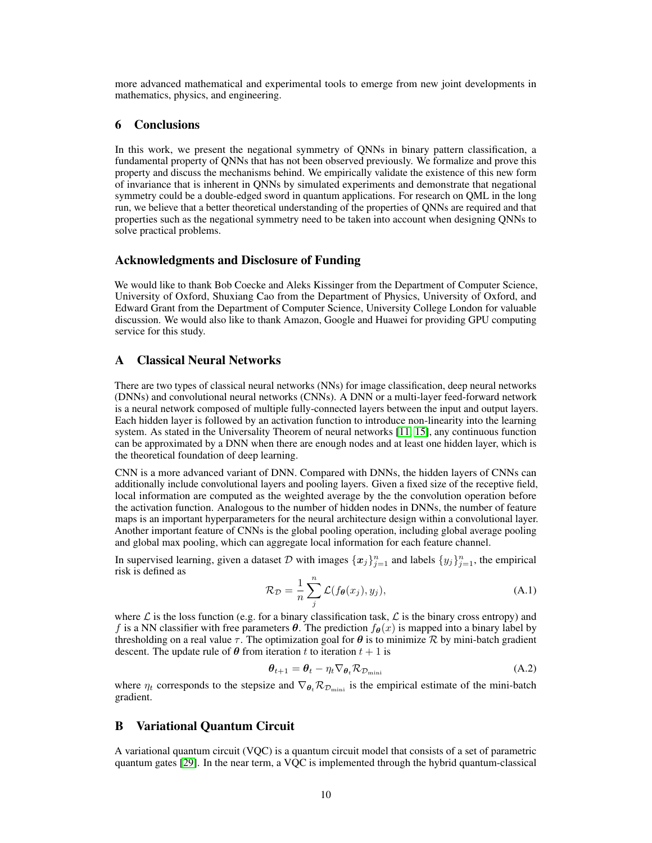more advanced mathematical and experimental tools to emerge from new joint developments in mathematics, physics, and engineering.

# 6 Conclusions

In this work, we present the negational symmetry of QNNs in binary pattern classification, a fundamental property of QNNs that has not been observed previously. We formalize and prove this property and discuss the mechanisms behind. We empirically validate the existence of this new form of invariance that is inherent in QNNs by simulated experiments and demonstrate that negational symmetry could be a double-edged sword in quantum applications. For research on QML in the long run, we believe that a better theoretical understanding of the properties of QNNs are required and that properties such as the negational symmetry need to be taken into account when designing QNNs to solve practical problems.

### Acknowledgments and Disclosure of Funding

We would like to thank Bob Coecke and Aleks Kissinger from the Department of Computer Science, University of Oxford, Shuxiang Cao from the Department of Physics, University of Oxford, and Edward Grant from the Department of Computer Science, University College London for valuable discussion. We would also like to thank Amazon, Google and Huawei for providing GPU computing service for this study.

### A Classical Neural Networks

There are two types of classical neural networks (NNs) for image classification, deep neural networks (DNNs) and convolutional neural networks (CNNs). A DNN or a multi-layer feed-forward network is a neural network composed of multiple fully-connected layers between the input and output layers. Each hidden layer is followed by an activation function to introduce non-linearity into the learning system. As stated in the Universality Theorem of neural networks [\[11,](#page-15-2) [15\]](#page-15-3), any continuous function can be approximated by a DNN when there are enough nodes and at least one hidden layer, which is the theoretical foundation of deep learning.

CNN is a more advanced variant of DNN. Compared with DNNs, the hidden layers of CNNs can additionally include convolutional layers and pooling layers. Given a fixed size of the receptive field, local information are computed as the weighted average by the the convolution operation before the activation function. Analogous to the number of hidden nodes in DNNs, the number of feature maps is an important hyperparameters for the neural architecture design within a convolutional layer. Another important feature of CNNs is the global pooling operation, including global average pooling and global max pooling, which can aggregate local information for each feature channel.

In supervised learning, given a dataset D with images  $\{x_j\}_{j=1}^n$  and labels  $\{y_j\}_{j=1}^n$ , the empirical risk is defined as

$$
\mathcal{R}_{\mathcal{D}} = \frac{1}{n} \sum_{j}^{n} \mathcal{L}(f_{\theta}(x_j), y_j), \tag{A.1}
$$

where  $\mathcal L$  is the loss function (e.g. for a binary classification task,  $\mathcal L$  is the binary cross entropy) and f is a NN classifier with free parameters  $\theta$ . The prediction  $f_{\theta}(x)$  is mapped into a binary label by thresholding on a real value  $\tau$ . The optimization goal for  $\theta$  is to minimize  $\mathcal R$  by mini-batch gradient descent. The update rule of  $\theta$  from iteration t to iteration  $t + 1$  is

$$
\boldsymbol{\theta}_{t+1} = \boldsymbol{\theta}_t - \eta_t \nabla_{\boldsymbol{\theta}_t} \mathcal{R}_{\mathcal{D}_{\text{mini}}} \tag{A.2}
$$

where  $\eta_t$  corresponds to the stepsize and  $\nabla_{\theta_t} \mathcal{R}_{\mathcal{D}_{\text{min}}}$  is the empirical estimate of the mini-batch gradient.

# B Variational Quantum Circuit

A variational quantum circuit (VQC) is a quantum circuit model that consists of a set of parametric quantum gates [\[29\]](#page-16-8). In the near term, a VQC is implemented through the hybrid quantum-classical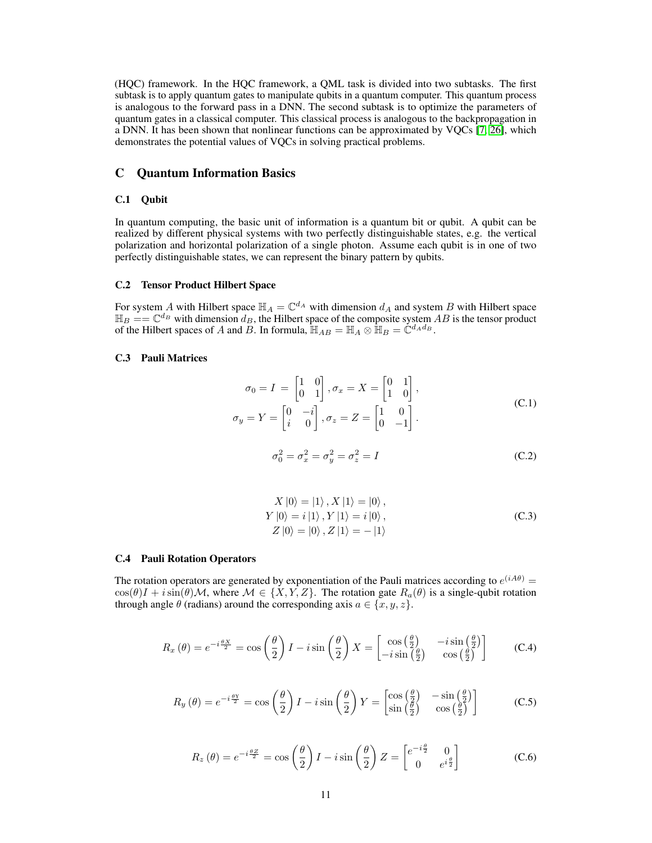(HQC) framework. In the HQC framework, a QML task is divided into two subtasks. The first subtask is to apply quantum gates to manipulate qubits in a quantum computer. This quantum process is analogous to the forward pass in a DNN. The second subtask is to optimize the parameters of quantum gates in a classical computer. This classical process is analogous to the backpropagation in a DNN. It has been shown that nonlinear functions can be approximated by VQCs  $[7, 26]$  $[7, 26]$  $[7, 26]$ , which demonstrates the potential values of VQCs in solving practical problems.

# C Quantum Information Basics

### C.1 Qubit

In quantum computing, the basic unit of information is a quantum bit or qubit. A qubit can be realized by different physical systems with two perfectly distinguishable states, e.g. the vertical polarization and horizontal polarization of a single photon. Assume each qubit is in one of two perfectly distinguishable states, we can represent the binary pattern by qubits.

### C.2 Tensor Product Hilbert Space

For system A with Hilbert space  $\mathbb{H}_A = \mathbb{C}^{d_A}$  with dimension  $d_A$  and system B with Hilbert space  $\mathbb{H}_B = \mathbb{C}^{d_B}$  with dimension  $d_B$ , the Hilbert space of the composite system AB is the tensor product of the Hilbert spaces of A and B. In formula,  $\mathbb{H}_{AB} = \mathbb{H}_A \otimes \mathbb{H}_B = \mathbb{C}^{d_A d_B}$ .

# C.3 Pauli Matrices

$$
\sigma_0 = I = \begin{bmatrix} 1 & 0 \\ 0 & 1 \end{bmatrix}, \sigma_x = X = \begin{bmatrix} 0 & 1 \\ 1 & 0 \end{bmatrix},
$$
  

$$
\sigma_y = Y = \begin{bmatrix} 0 & -i \\ i & 0 \end{bmatrix}, \sigma_z = Z = \begin{bmatrix} 1 & 0 \\ 0 & -1 \end{bmatrix}.
$$
 (C.1)

$$
\sigma_0^2 = \sigma_x^2 = \sigma_y^2 = \sigma_z^2 = I \tag{C.2}
$$

$$
X |0\rangle = |1\rangle, X |1\rangle = |0\rangle,
$$
  
\n
$$
Y |0\rangle = i |1\rangle, Y |1\rangle = i |0\rangle,
$$
  
\n
$$
Z |0\rangle = |0\rangle, Z |1\rangle = - |1\rangle
$$
\n(C.3)

#### C.4 Pauli Rotation Operators

<span id="page-10-0"></span>The rotation operators are generated by exponentiation of the Pauli matrices according to  $e^{(iA\theta)}$  =  $\cos(\theta)I + i\sin(\theta)\mathcal{M}$ , where  $\mathcal{M} \in \{X, Y, Z\}$ . The rotation gate  $R_a(\theta)$  is a single-qubit rotation through angle  $\theta$  (radians) around the corresponding axis  $a \in \{x, y, z\}$ .

<span id="page-10-1"></span>
$$
R_x(\theta) = e^{-i\frac{\theta X}{2}} = \cos\left(\frac{\theta}{2}\right)I - i\sin\left(\frac{\theta}{2}\right)X = \begin{bmatrix} \cos\left(\frac{\theta}{2}\right) & -i\sin\left(\frac{\theta}{2}\right) \\ -i\sin\left(\frac{\theta}{2}\right) & \cos\left(\frac{\theta}{2}\right) \end{bmatrix}
$$
 (C.4)

<span id="page-10-2"></span>
$$
R_y(\theta) = e^{-i\frac{\theta Y}{2}} = \cos\left(\frac{\theta}{2}\right)I - i\sin\left(\frac{\theta}{2}\right)Y = \begin{bmatrix} \cos\left(\frac{\theta}{2}\right) & -\sin\left(\frac{\theta}{2}\right) \\ \sin\left(\frac{\theta}{2}\right) & \cos\left(\frac{\theta}{2}\right) \end{bmatrix}
$$
 (C.5)

$$
R_z(\theta) = e^{-i\frac{\theta Z}{2}} = \cos\left(\frac{\theta}{2}\right)I - i\sin\left(\frac{\theta}{2}\right)Z = \begin{bmatrix} e^{-i\frac{\theta}{2}} & 0\\ 0 & e^{i\frac{\theta}{2}} \end{bmatrix}
$$
(C.6)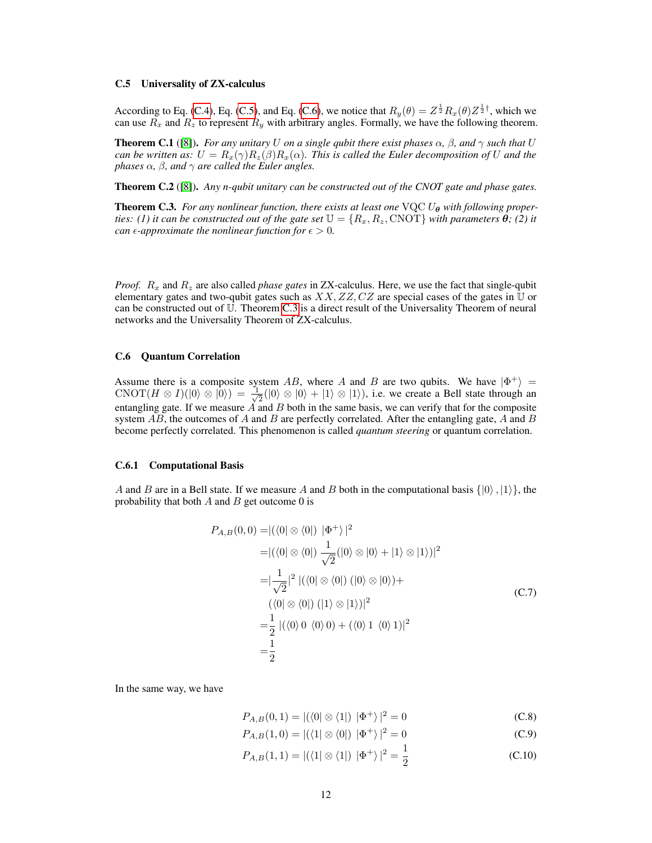#### C.5 Universality of ZX-calculus

According to Eq. [\(C.4\)](#page-10-0), Eq. [\(C.5\)](#page-10-1), and Eq. [\(C.6\)](#page-10-2), we notice that  $R_y(\theta) = Z^{\frac{1}{2}} R_x(\theta) Z^{\frac{1}{2} \dagger}$ , which we can use  $R_x$  and  $R_z$  to represent  $R_y$  with arbitrary angles. Formally, we have the following theorem.

**Theorem C.1** ([\[8\]](#page-15-15)). *For any unitary U on a single qubit there exist phases*  $\alpha$ ,  $\beta$ , and  $\gamma$  *such that* U *can be written as:*  $U = R_x(\gamma)R_z(\beta)R_x(\alpha)$ *. This is called the Euler decomposition of* U *and the phases*  $\alpha$ *,*  $\beta$ *, and*  $\gamma$  *are called the Euler angles.* 

Theorem C.2 ([\[8\]](#page-15-15)). *Any n-qubit unitary can be constructed out of the CNOT gate and phase gates.*

<span id="page-11-0"></span>**Theorem C.3.** For any nonlinear function, there exists at least one  $VQCU_{\theta}$  with following proper*ties: (1) it can be constructed out of the gate set*  $\mathbb{U} = \{R_x, R_z, \text{CNOT}\}\$  *with parameters*  $\theta$ ; (2) it *can*  $\epsilon$ -*approximate the nonlinear function for*  $\epsilon > 0$ *.* 

*Proof.*  $R_x$  and  $R_z$  are also called *phase gates* in ZX-calculus. Here, we use the fact that single-qubit elementary gates and two-qubit gates such as  $XX, ZZ, CZ$  are special cases of the gates in U or can be constructed out of U. Theorem [C.3](#page-11-0) is a direct result of the Universality Theorem of neural networks and the Universality Theorem of ZX-calculus.

### C.6 Quantum Correlation

Assume there is a composite system AB, where A and B are two qubits. We have  $|\Phi^+\rangle$  =  $\text{CNOT}(H \otimes I)(|0\rangle \otimes |0\rangle) = \frac{1}{\sqrt{2}}$  $\frac{1}{2}(|0\rangle \otimes |0\rangle + |1\rangle \otimes |1\rangle)$ , i.e. we create a Bell state through an entangling gate. If we measure  $\overrightarrow{A}$  and  $\overrightarrow{B}$  both in the same basis, we can verify that for the composite system  $AB$ , the outcomes of  $A$  and  $B$  are perfectly correlated. After the entangling gate,  $A$  and  $B$ become perfectly correlated. This phenomenon is called *quantum steering* or quantum correlation.

#### C.6.1 Computational Basis

A and B are in a Bell state. If we measure A and B both in the computational basis  $\{|0\rangle, |1\rangle\}$ , the probability that both  $A$  and  $B$  get outcome 0 is

$$
P_{A,B}(0,0) = |(\langle 0 | \otimes \langle 0 | \rangle | \Phi^+ \rangle |^2
$$
  
= |(\langle 0 | \otimes \langle 0 | \rangle \frac{1}{\sqrt{2}}(|0\rangle \otimes |0\rangle + |1\rangle \otimes |1\rangle)|^2  
= |\frac{1}{\sqrt{2}}|^2 |(\langle 0 | \otimes \langle 0 | \rangle (|0\rangle \otimes |0\rangle) +  
( $\langle 0 | \otimes \langle 0 | \rangle (|1\rangle \otimes |1\rangle)|^2$   
=  $\frac{1}{2}$  |(\langle 0 \rangle 0 \langle 0 \rangle 0) + (\langle 0 \rangle 1 \langle 0 \rangle 1)|^2  
=  $\frac{1}{2}$ 

In the same way, we have

$$
P_{A,B}(0,1) = |(\langle 0 | \otimes \langle 1 | \rangle | \Phi^+ \rangle)|^2 = 0
$$
 (C.8)

$$
P_{A,B}(1,0) = |(\langle 1 | \otimes \langle 0 | \rangle | \Phi^+ \rangle)|^2 = 0
$$
 (C.9)

$$
P_{A,B}(1,1) = |(\langle 1 | \otimes \langle 1 | \rangle | \Phi^+ \rangle)|^2 = \frac{1}{2}
$$
 (C.10)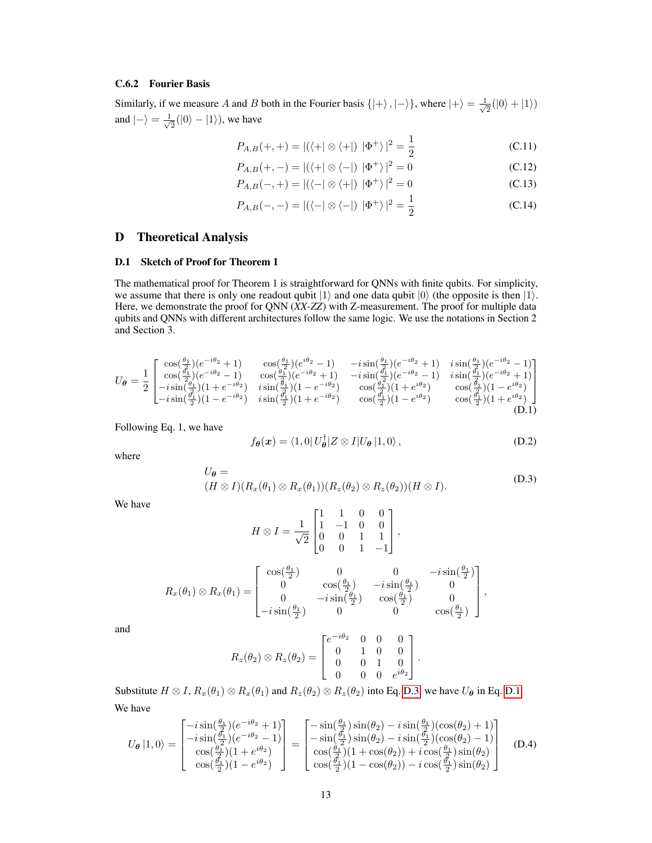# C.6.2 Fourier Basis

Similarly, if we measure A and B both in the Fourier basis  $\{|\text{+}\rangle$ ,  $|-\rangle\}$ , where  $|+\rangle = \frac{1}{\sqrt{2}}$  $\frac{1}{2}(|0\rangle + |1\rangle)$ and  $|-\rangle = \frac{1}{\sqrt{2}}$  $\frac{1}{2}(|0\rangle - |1\rangle)$ , we have

$$
P_{A,B}(+,+) = |(\langle +| \otimes \langle +| \rangle | \Phi^+ \rangle)|^2 = \frac{1}{2}
$$
 (C.11)

$$
P_{A,B}(+,-) = |(\langle +| \otimes \langle -| \rangle | \Phi^+ \rangle |^2 = 0
$$
 (C.12)

$$
P_{A,B}(-,+)=|(\langle -|\otimes\langle +|)|\Phi^{+}\rangle)|^{2}=0
$$
 (C.13)

$$
P_{A,B}(-,-) = |(\langle -| \otimes \langle -|) | \Phi^+ \rangle|^2 = \frac{1}{2}
$$
 (C.14)

# D Theoretical Analysis

### <span id="page-12-3"></span>D.1 Sketch of Proof for Theorem 1

The mathematical proof for Theorem 1 is straightforward for QNNs with finite qubits. For simplicity, we assume that there is only one readout qubit  $|1\rangle$  and one data qubit  $|0\rangle$  (the opposite is then  $|1\rangle$ . Here, we demonstrate the proof for QNN (*XX-ZZ*) with Z-measurement. The proof for multiple data qubits and QNNs with different architectures follow the same logic. We use the notations in Section 2 and Section 3.

<span id="page-12-1"></span>
$$
U_{\theta} = \frac{1}{2} \begin{bmatrix} \cos(\frac{\theta_{1}}{2})(e^{-i\theta_{2}}+1) & \cos(\frac{\theta_{1}}{2})(e^{i\theta_{2}}-1) & -i\sin(\frac{\theta_{1}}{2})(e^{-i\theta_{2}}+1) & i\sin(\frac{\theta_{1}}{2})(e^{-i\theta_{2}}-1) \\ \cos(\frac{\theta_{1}}{2})(e^{-i\theta_{2}}-1) & \cos(\frac{\theta_{1}}{2})(e^{-i\theta_{2}}+1) & -i\sin(\frac{\theta_{1}}{2})(e^{-i\theta_{2}}-1) & i\sin(\frac{\theta_{1}}{2})(e^{-i\theta_{2}}+1) \\ -i\sin(\frac{\theta_{1}}{2})(1+e^{-i\theta_{2}}) & i\sin(\frac{\theta_{1}}{2})(1-e^{-i\theta_{2}}) & \cos(\frac{\theta_{1}}{2})(1+e^{i\theta_{2}}) & \cos(\frac{\theta_{1}}{2})(1-e^{i\theta_{2}}) \\ -i\sin(\frac{\theta_{1}}{2})(1-e^{-i\theta_{2}}) & i\sin(\frac{\theta_{1}}{2})(1+e^{-i\theta_{2}}) & \cos(\frac{\theta_{1}}{2})(1-e^{i\theta_{2}}) & \cos(\frac{\theta_{1}}{2})(1+e^{i\theta_{2}}) \end{bmatrix}
$$
(D.1)

Following Eq. 1, we have

<span id="page-12-2"></span>
$$
f_{\theta}(\boldsymbol{x}) = \langle 1, 0 | U_{\theta}^{\dagger} | Z \otimes I | U_{\theta} | 1, 0 \rangle, \qquad (D.2)
$$

<span id="page-12-0"></span>where

$$
U_{\theta} = (H \otimes I)(R_x(\theta_1) \otimes R_x(\theta_1))(R_z(\theta_2) \otimes R_z(\theta_2))(H \otimes I).
$$
 (D.3)

We have

$$
H \otimes I = \frac{1}{\sqrt{2}} \begin{bmatrix} 1 & 1 & 0 & 0 \\ 1 & -1 & 0 & 0 \\ 0 & 0 & 1 & 1 \\ 0 & 0 & 1 & -1 \end{bmatrix},
$$
  

$$
R_x(\theta_1) \otimes R_x(\theta_1) = \begin{bmatrix} \cos(\frac{\theta_1}{2}) & 0 & 0 & -i\sin(\frac{\theta_1}{2}) \\ 0 & \cos(\frac{\theta_1}{2}) & -i\sin(\frac{\theta_1}{2}) & 0 \\ 0 & -i\sin(\frac{\theta_1}{2}) & \cos(\frac{\theta_1}{2}) & 0 \\ -i\sin(\frac{\theta_1}{2}) & 0 & 0 & \cos(\frac{\theta_1}{2}) \end{bmatrix},
$$

and

$$
R_z(\theta_2) \otimes R_z(\theta_2) = \begin{bmatrix} e^{-i\theta_2} & 0 & 0 & 0 \\ 0 & 1 & 0 & 0 \\ 0 & 0 & 1 & 0 \\ 0 & 0 & 0 & e^{i\theta_2} \end{bmatrix}.
$$

Substitute  $H \otimes I$ ,  $R_x(\theta_1) \otimes R_x(\theta_1)$  and  $R_z(\theta_2) \otimes R_z(\theta_2)$  into Eq. [D.3,](#page-12-0) we have  $U_{\theta}$  in Eq. [D.1.](#page-12-1) We have

$$
U_{\theta}|1,0\rangle = \begin{bmatrix} -i\sin(\frac{\theta_{1}}{2})(e^{-i\theta_{2}}+1) \\ -i\sin(\frac{\theta_{1}}{2})(e^{-i\theta_{2}}-1) \\ \cos(\frac{\theta_{1}}{2})(1+e^{i\theta_{2}}) \\ \cos(\frac{\theta_{1}}{2})(1-e^{i\theta_{2}}) \end{bmatrix} = \begin{bmatrix} -\sin(\frac{\theta_{1}}{2})\sin(\theta_{2}) - i\sin(\frac{\theta_{1}}{2})(\cos(\theta_{2})+1) \\ -\sin(\frac{\theta_{1}}{2})\sin(\theta_{2}) - i\sin(\frac{\theta_{1}}{2})(\cos(\theta_{2})-1) \\ \cos(\frac{\theta_{1}}{2})(1+\cos(\theta_{2}))+i\cos(\frac{\theta_{1}}{2})\sin(\theta_{2}) \\ \cos(\frac{\theta_{1}}{2})(1-\cos(\theta_{2}))-i\cos(\frac{\theta_{1}}{2})\sin(\theta_{2}) \end{bmatrix}
$$
(D.4)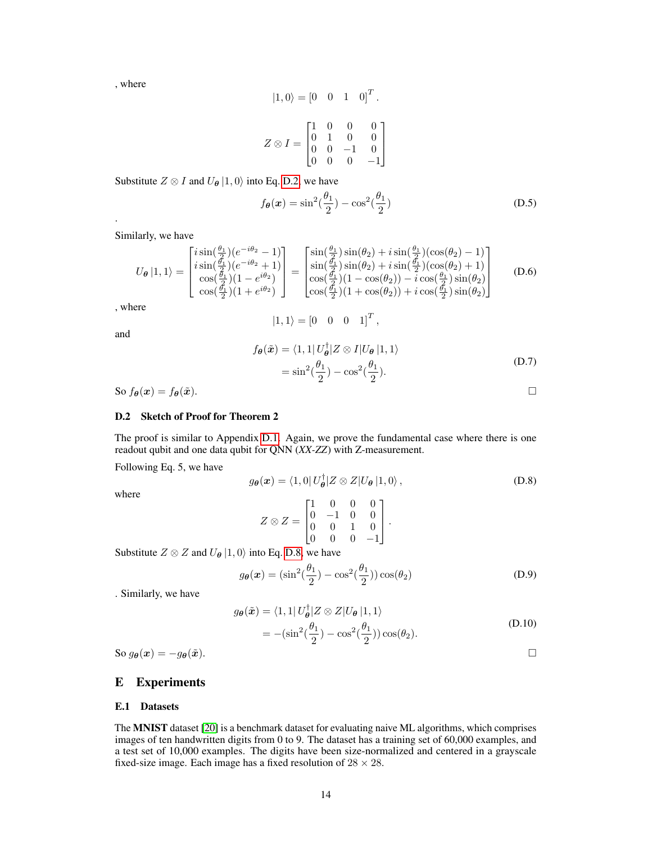, where

$$
|1,0\rangle = [0 \quad 0 \quad 1 \quad 0]^T.
$$

$$
Z \otimes I = \begin{bmatrix} 1 & 0 & 0 & 0 \\ 0 & 1 & 0 & 0 \\ 0 & 0 & -1 & 0 \\ 0 & 0 & 0 & -1 \end{bmatrix}
$$

Substitute  $Z \otimes I$  and  $U_{\theta} |1, 0\rangle$  into Eq. [D.2,](#page-12-2) we have

$$
f_{\theta}(\boldsymbol{x}) = \sin^2(\frac{\theta_1}{2}) - \cos^2(\frac{\theta_1}{2})
$$
 (D.5)

Similarly, we have

$$
U_{\theta}|1,1\rangle = \begin{bmatrix} i\sin(\frac{\theta_{1}}{2})(e^{-i\theta_{2}}-1) \\ i\sin(\frac{\theta_{1}}{2})(e^{-i\theta_{2}}+1) \\ \cos(\frac{\theta_{1}}{2})(1-e^{i\theta_{2}}) \\ \cos(\frac{\theta_{1}}{2})(1+e^{i\theta_{2}}) \end{bmatrix} = \begin{bmatrix} \sin(\frac{\theta_{1}}{2})\sin(\theta_{2}) + i\sin(\frac{\theta_{1}}{2})(\cos(\theta_{2})-1) \\ \sin(\frac{\theta_{1}}{2})\sin(\theta_{2}) + i\sin(\frac{\theta_{1}}{2})(\cos(\theta_{2})+1) \\ \cos(\frac{\theta_{1}}{2})(1-\cos(\theta_{2})) - i\cos(\frac{\theta_{1}}{2})\sin(\theta_{2}) \\ \cos(\frac{\theta_{1}}{2})(1+\cos(\theta_{2})) + i\cos(\frac{\theta_{1}}{2})\sin(\theta_{2}) \end{bmatrix}
$$
(D.6)

 $|1, 1\rangle = [0 \ 0 \ 0 \ 1]^T$ ,

, where

and

.

$$
f_{\theta}(\tilde{x}) = \langle 1, 1 | U_{\theta}^{\dagger} | Z \otimes I | U_{\theta} | 1, 1 \rangle
$$
  
=  $\sin^2(\frac{\theta_1}{2}) - \cos^2(\frac{\theta_1}{2}).$  (D.7)

So  $f_{\theta}(x) = f_{\theta}(\tilde{x})$ .

### D.2 Sketch of Proof for Theorem 2

The proof is similar to Appendix [D.1.](#page-12-3) Again, we prove the fundamental case where there is one readout qubit and one data qubit for QNN (*XX-ZZ*) with Z-measurement.

Following Eq. 5, we have

<span id="page-13-1"></span>
$$
g_{\theta}(\boldsymbol{x}) = \langle 1, 0 | U_{\theta}^{\dagger} | Z \otimes Z | U_{\theta} | 1, 0 \rangle, \qquad (D.8)
$$

where

$$
Z \otimes Z = \begin{bmatrix} 1 & 0 & 0 & 0 \\ 0 & -1 & 0 & 0 \\ 0 & 0 & 1 & 0 \\ 0 & 0 & 0 & -1 \end{bmatrix}.
$$

Substitute  $Z \otimes Z$  and  $U_{\theta} |1,0\rangle$  into Eq. [D.8,](#page-13-1) we have

 $g_{\boldsymbol{\theta}}(\boldsymbol{x}) = (\sin^2(\frac{\theta_1}{2}))$  $(\frac{\theta_1}{2}) - \cos^2(\frac{\theta_1}{2})$  $\frac{\sqrt{1}}{2}$ )) cos( $\theta_2$ ) (D.9)

. Similarly, we have

$$
g_{\theta}(\tilde{\boldsymbol{x}}) = \langle 1, 1 | U_{\theta}^{\dagger} | Z \otimes Z | U_{\theta} | 1, 1 \rangle
$$
  
=  $-(\sin^2(\frac{\theta_1}{2}) - \cos^2(\frac{\theta_1}{2})) \cos(\theta_2).$  (D.10)

So  $g_{\theta}(x) = -g_{\theta}(\tilde{x}).$ 

### <span id="page-13-0"></span>E Experiments

### E.1 Datasets

The MNIST dataset [\[20\]](#page-15-20) is a benchmark dataset for evaluating naive ML algorithms, which comprises images of ten handwritten digits from 0 to 9. The dataset has a training set of 60,000 examples, and a test set of 10,000 examples. The digits have been size-normalized and centered in a grayscale fixed-size image. Each image has a fixed resolution of  $28 \times 28$ .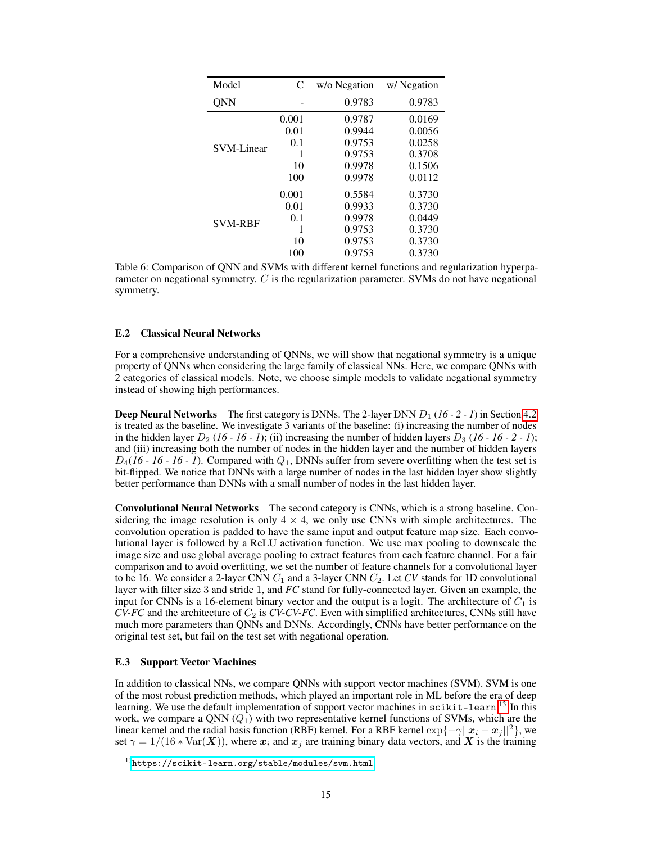<span id="page-14-1"></span>

| Model             | C     | w/o Negation | w/ Negation |
|-------------------|-------|--------------|-------------|
| <b>QNN</b>        |       | 0.9783       | 0.9783      |
| <b>SVM-Linear</b> | 0.001 | 0.9787       | 0.0169      |
|                   | 0.01  | 0.9944       | 0.0056      |
|                   | 0.1   | 0.9753       | 0.0258      |
|                   | 1     | 0.9753       | 0.3708      |
|                   | 10    | 0.9978       | 0.1506      |
|                   | 100   | 0.9978       | 0.0112      |
| <b>SVM-RBF</b>    | 0.001 | 0.5584       | 0.3730      |
|                   | 0.01  | 0.9933       | 0.3730      |
|                   | 0.1   | 0.9978       | 0.0449      |
|                   |       | 0.9753       | 0.3730      |
|                   | 10    | 0.9753       | 0.3730      |
|                   | 100   | 0.9753       | 0.3730      |

Table 6: Comparison of QNN and SVMs with different kernel functions and regularization hyperparameter on negational symmetry. C is the regularization parameter. SVMs do not have negational symmetry.

### E.2 Classical Neural Networks

For a comprehensive understanding of QNNs, we will show that negational symmetry is a unique property of QNNs when considering the large family of classical NNs. Here, we compare QNNs with 2 categories of classical models. Note, we choose simple models to validate negational symmetry instead of showing high performances.

**Deep Neural Networks** The first category is DNNs. The 2-layer DNN  $D_1$  (16 - 2 - 1) in Section [4.2](#page-6-2) is treated as the baseline. We investigate 3 variants of the baseline: (i) increasing the number of nodes in the hidden layer  $D_2$  (16 - 16 - 1); (ii) increasing the number of hidden layers  $D_3$  (16 - 16 - 2 - 1); and (iii) increasing both the number of nodes in the hidden layer and the number of hidden layers  $D_4$ (16 - 16 - 16 - 1). Compared with  $Q_1$ , DNNs suffer from severe overfitting when the test set is bit-flipped. We notice that DNNs with a large number of nodes in the last hidden layer show slightly better performance than DNNs with a small number of nodes in the last hidden layer.

Convolutional Neural Networks The second category is CNNs, which is a strong baseline. Considering the image resolution is only  $4 \times 4$ , we only use CNNs with simple architectures. The convolution operation is padded to have the same input and output feature map size. Each convolutional layer is followed by a ReLU activation function. We use max pooling to downscale the image size and use global average pooling to extract features from each feature channel. For a fair comparison and to avoid overfitting, we set the number of feature channels for a convolutional layer to be 16. We consider a 2-layer CNN  $C_1$  and a 3-layer CNN  $C_2$ . Let CV stands for 1D convolutional layer with filter size 3 and stride 1, and *FC* stand for fully-connected layer. Given an example, the input for CNNs is a 16-element binary vector and the output is a logit. The architecture of  $C_1$  is  $CV-FC$  and the architecture of  $C_2$  is  $CV-CV-FC$ . Even with simplified architectures, CNNs still have much more parameters than QNNs and DNNs. Accordingly, CNNs have better performance on the original test set, but fail on the test set with negational operation.

### E.3 Support Vector Machines

In addition to classical NNs, we compare QNNs with support vector machines (SVM). SVM is one of the most robust prediction methods, which played an important role in ML before the era of deep learning. We use the default implementation of support vector machines in scikit-learn.<sup>[13](#page-14-0)</sup> In this work, we compare a QNN  $(Q_1)$  with two representative kernel functions of SVMs, which are the linear kernel and the radial basis function (RBF) kernel. For a RBF kernel  $\exp{\{-\gamma||x_i - x_i||^2\}}$ , we set  $\gamma = 1/(16 * \text{Var}(\boldsymbol{X}))$ , where  $x_i$  and  $x_j$  are training binary data vectors, and  $\boldsymbol{X}$  is the training

<span id="page-14-0"></span><sup>13</sup><https://scikit-learn.org/stable/modules/svm.html>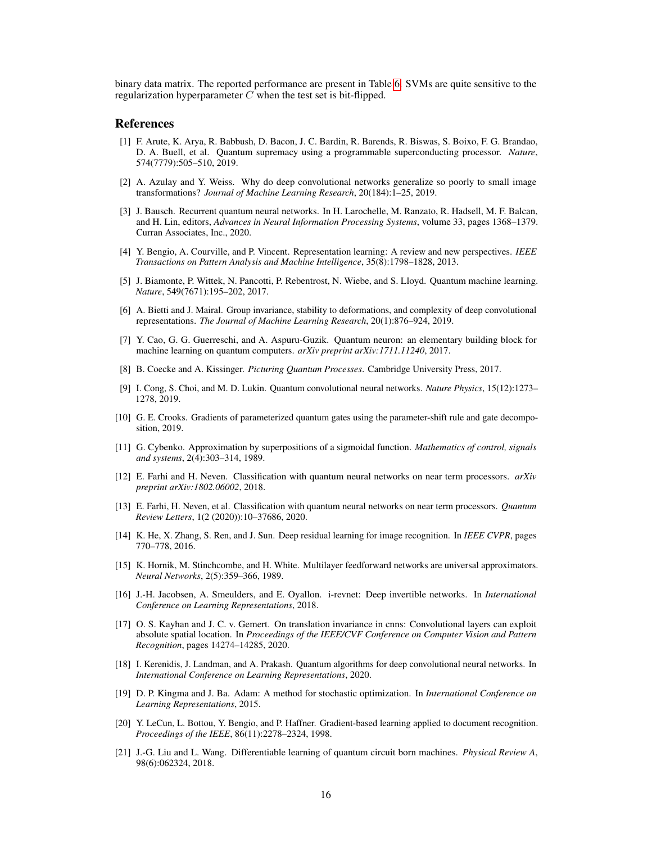binary data matrix. The reported performance are present in Table [6.](#page-14-1) SVMs are quite sensitive to the regularization hyperparameter  $C$  when the test set is bit-flipped.

### **References**

- <span id="page-15-0"></span>[1] F. Arute, K. Arya, R. Babbush, D. Bacon, J. C. Bardin, R. Barends, R. Biswas, S. Boixo, F. G. Brandao, D. A. Buell, et al. Quantum supremacy using a programmable superconducting processor. *Nature*, 574(7779):505–510, 2019.
- <span id="page-15-10"></span>[2] A. Azulay and Y. Weiss. Why do deep convolutional networks generalize so poorly to small image transformations? *Journal of Machine Learning Research*, 20(184):1–25, 2019.
- <span id="page-15-8"></span>[3] J. Bausch. Recurrent quantum neural networks. In H. Larochelle, M. Ranzato, R. Hadsell, M. F. Balcan, and H. Lin, editors, *Advances in Neural Information Processing Systems*, volume 33, pages 1368–1379. Curran Associates, Inc., 2020.
- <span id="page-15-17"></span>[4] Y. Bengio, A. Courville, and P. Vincent. Representation learning: A review and new perspectives. *IEEE Transactions on Pattern Analysis and Machine Intelligence*, 35(8):1798–1828, 2013.
- <span id="page-15-1"></span>[5] J. Biamonte, P. Wittek, N. Pancotti, P. Rebentrost, N. Wiebe, and S. Lloyd. Quantum machine learning. *Nature*, 549(7671):195–202, 2017.
- <span id="page-15-11"></span>[6] A. Bietti and J. Mairal. Group invariance, stability to deformations, and complexity of deep convolutional representations. *The Journal of Machine Learning Research*, 20(1):876–924, 2019.
- <span id="page-15-19"></span>[7] Y. Cao, G. G. Guerreschi, and A. Aspuru-Guzik. Quantum neuron: an elementary building block for machine learning on quantum computers. *arXiv preprint arXiv:1711.11240*, 2017.
- <span id="page-15-15"></span>[8] B. Coecke and A. Kissinger. *Picturing Quantum Processes*. Cambridge University Press, 2017.
- <span id="page-15-6"></span>[9] I. Cong, S. Choi, and M. D. Lukin. Quantum convolutional neural networks. *Nature Physics*, 15(12):1273– 1278, 2019.
- <span id="page-15-16"></span>[10] G. E. Crooks. Gradients of parameterized quantum gates using the parameter-shift rule and gate decomposition, 2019.
- <span id="page-15-2"></span>[11] G. Cybenko. Approximation by superpositions of a sigmoidal function. *Mathematics of control, signals and systems*, 2(4):303–314, 1989.
- <span id="page-15-5"></span>[12] E. Farhi and H. Neven. Classification with quantum neural networks on near term processors. *arXiv preprint arXiv:1802.06002*, 2018.
- <span id="page-15-13"></span>[13] E. Farhi, H. Neven, et al. Classification with quantum neural networks on near term processors. *Quantum Review Letters*, 1(2 (2020)):10–37686, 2020.
- <span id="page-15-4"></span>[14] K. He, X. Zhang, S. Ren, and J. Sun. Deep residual learning for image recognition. In *IEEE CVPR*, pages 770–778, 2016.
- <span id="page-15-3"></span>[15] K. Hornik, M. Stinchcombe, and H. White. Multilayer feedforward networks are universal approximators. *Neural Networks*, 2(5):359–366, 1989.
- <span id="page-15-9"></span>[16] J.-H. Jacobsen, A. Smeulders, and E. Oyallon. i-revnet: Deep invertible networks. In *International Conference on Learning Representations*, 2018.
- <span id="page-15-12"></span>[17] O. S. Kayhan and J. C. v. Gemert. On translation invariance in cnns: Convolutional layers can exploit absolute spatial location. In *Proceedings of the IEEE/CVF Conference on Computer Vision and Pattern Recognition*, pages 14274–14285, 2020.
- <span id="page-15-7"></span>[18] I. Kerenidis, J. Landman, and A. Prakash. Quantum algorithms for deep convolutional neural networks. In *International Conference on Learning Representations*, 2020.
- <span id="page-15-18"></span>[19] D. P. Kingma and J. Ba. Adam: A method for stochastic optimization. In *International Conference on Learning Representations*, 2015.
- <span id="page-15-20"></span>[20] Y. LeCun, L. Bottou, Y. Bengio, and P. Haffner. Gradient-based learning applied to document recognition. *Proceedings of the IEEE*, 86(11):2278–2324, 1998.
- <span id="page-15-14"></span>[21] J.-G. Liu and L. Wang. Differentiable learning of quantum circuit born machines. *Physical Review A*, 98(6):062324, 2018.